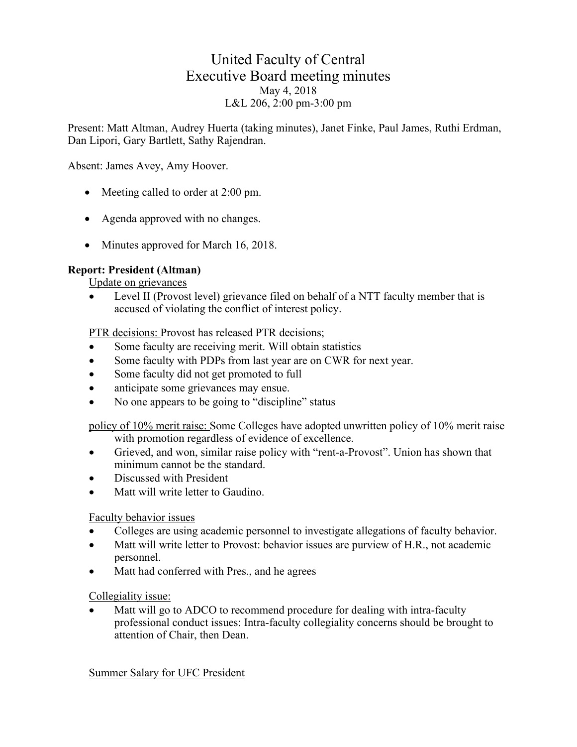# United Faculty of Central Executive Board meeting minutes May 4, 2018 L&L 206, 2:00 pm-3:00 pm

Present: Matt Altman, Audrey Huerta (taking minutes), Janet Finke, Paul James, Ruthi Erdman, Dan Lipori, Gary Bartlett, Sathy Rajendran.

Absent: James Avey, Amy Hoover.

- Meeting called to order at 2:00 pm.
- Agenda approved with no changes.
- Minutes approved for March 16, 2018.

#### **Report: President (Altman)**

Update on grievances

Level II (Provost level) grievance filed on behalf of a NTT faculty member that is accused of violating the conflict of interest policy.

PTR decisions: Provost has released PTR decisions;

- Some faculty are receiving merit. Will obtain statistics
- Some faculty with PDPs from last year are on CWR for next year.
- Some faculty did not get promoted to full
- anticipate some grievances may ensue.
- No one appears to be going to "discipline" status

policy of 10% merit raise: Some Colleges have adopted unwritten policy of 10% merit raise with promotion regardless of evidence of excellence.

- Grieved, and won, similar raise policy with "rent-a-Provost". Union has shown that minimum cannot be the standard.
- Discussed with President
- Matt will write letter to Gaudino.

#### Faculty behavior issues

- Colleges are using academic personnel to investigate allegations of faculty behavior.
- Matt will write letter to Provost: behavior issues are purview of H.R., not academic personnel.
- Matt had conferred with Pres., and he agrees

#### Collegiality issue:

Matt will go to ADCO to recommend procedure for dealing with intra-faculty professional conduct issues: Intra-faculty collegiality concerns should be brought to attention of Chair, then Dean.

Summer Salary for UFC President